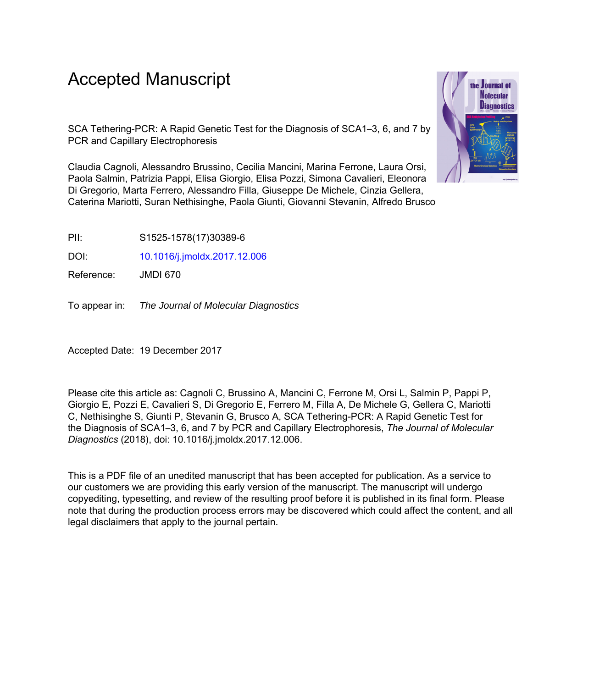# Accepted Manuscript

SCA Tethering-PCR: A Rapid Genetic Test for the Diagnosis of SCA1–3, 6, and 7 by PCR and Capillary Electrophoresis

Claudia Cagnoli, Alessandro Brussino, Cecilia Mancini, Marina Ferrone, Laura Orsi, Paola Salmin, Patrizia Pappi, Elisa Giorgio, Elisa Pozzi, Simona Cavalieri, Eleonora Di Gregorio, Marta Ferrero, Alessandro Filla, Giuseppe De Michele, Cinzia Gellera, Caterina Mariotti, Suran Nethisinghe, Paola Giunti, Giovanni Stevanin, Alfredo Brusco



PII: S1525-1578(17)30389-6

DOI: [10.1016/j.jmoldx.2017.12.006](https://doi.org/10.1016/j.jmoldx.2017.12.006)

Reference: JMDI 670

To appear in: The Journal of Molecular Diagnostics

Accepted Date: 19 December 2017

Please cite this article as: Cagnoli C, Brussino A, Mancini C, Ferrone M, Orsi L, Salmin P, Pappi P, Giorgio E, Pozzi E, Cavalieri S, Di Gregorio E, Ferrero M, Filla A, De Michele G, Gellera C, Mariotti C, Nethisinghe S, Giunti P, Stevanin G, Brusco A, SCA Tethering-PCR: A Rapid Genetic Test for the Diagnosis of SCA1–3, 6, and 7 by PCR and Capillary Electrophoresis, *The Journal of Molecular Diagnostics* (2018), doi: 10.1016/j.jmoldx.2017.12.006.

This is a PDF file of an unedited manuscript that has been accepted for publication. As a service to our customers we are providing this early version of the manuscript. The manuscript will undergo copyediting, typesetting, and review of the resulting proof before it is published in its final form. Please note that during the production process errors may be discovered which could affect the content, and all legal disclaimers that apply to the journal pertain.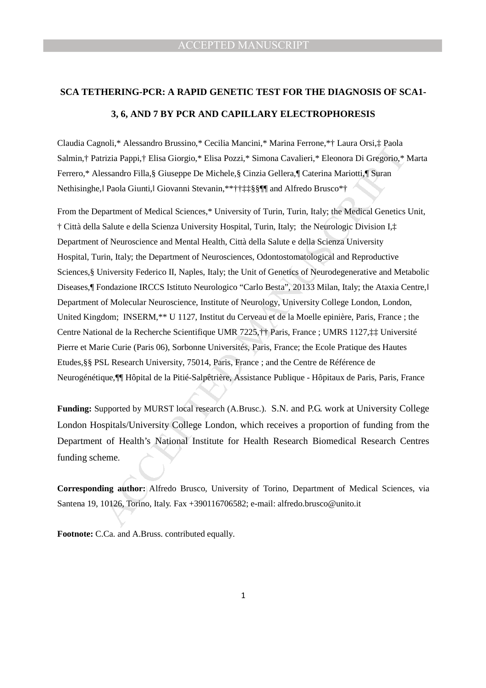# **SCA TETHERING-PCR: A RAPID GENETIC TEST FOR THE DIAGNOSIS OF SCA1- 3, 6, AND 7 BY PCR AND CAPILLARY ELECTROPHORESIS**

Claudia Cagnoli,\* Alessandro Brussino,\* Cecilia Mancini,\* Marina Ferrone,\*† Laura Orsi,‡ Paola Salmin,† Patrizia Pappi,† Elisa Giorgio,\* Elisa Pozzi,\* Simona Cavalieri,\* Eleonora Di Gregorio,\* Marta Ferrero,\* Alessandro Filla,§ Giuseppe De Michele,§ Cinzia Gellera,¶ Caterina Mariotti,¶ Suran Nethisinghe,ǁ Paola Giunti,ǁ Giovanni Stevanin,\*\*††‡‡§§¶¶ and Alfredo Brusco\*†

non, "Atessanto Diustion," Cectua Matulcani," Manina rentone," + Latura Osts.1, raonina rentone, "Accessandro Filla, S Giuseppe De Michele, S Cinzia Gellera, "Elesantio Bit aportina" in Manina Proposition of Filla, S Giuse From the Department of Medical Sciences,\* University of Turin, Turin, Italy; the Medical Genetics Unit, † Città della Salute e della Scienza University Hospital, Turin, Italy; the Neurologic Division I,‡ Department of Neuroscience and Mental Health, Città della Salute e della Scienza University Hospital, Turin, Italy; the Department of Neurosciences, Odontostomatological and Reproductive Sciences,§ University Federico II, Naples, Italy; the Unit of Genetics of Neurodegenerative and Metabolic Diseases, Fondazione IRCCS Istituto Neurologico "Carlo Besta", 20133 Milan, Italy; the Ataxia Centre, Department of Molecular Neuroscience, Institute of Neurology, University College London, London, United Kingdom; INSERM,\*\* U 1127, Institut du Cerveau et de la Moelle epinière, Paris, France ; the Centre National de la Recherche Scientifique UMR 7225,†† Paris, France ; UMRS 1127,‡‡ Université Pierre et Marie Curie (Paris 06), Sorbonne Universités, Paris, France; the Ecole Pratique des Hautes Etudes,§§ PSL Research University, 75014, Paris, France ; and the Centre de Référence de Neurogénétique,¶¶ Hôpital de la Pitié-Salpêtrière, Assistance Publique - Hôpitaux de Paris, Paris, France

**Funding:** Supported by MURST local research (A.Brusc.). S.N. and P.G. work at University College London Hospitals/University College London, which receives a proportion of funding from the Department of Health's National Institute for Health Research Biomedical Research Centres funding scheme.

**Corresponding author:** Alfredo Brusco, University of Torino, Department of Medical Sciences, via Santena 19, 10126, Torino, Italy. Fax +390116706582; e-mail: alfredo.brusco@unito.it

**Footnote:** C.Ca. and A.Bruss. contributed equally.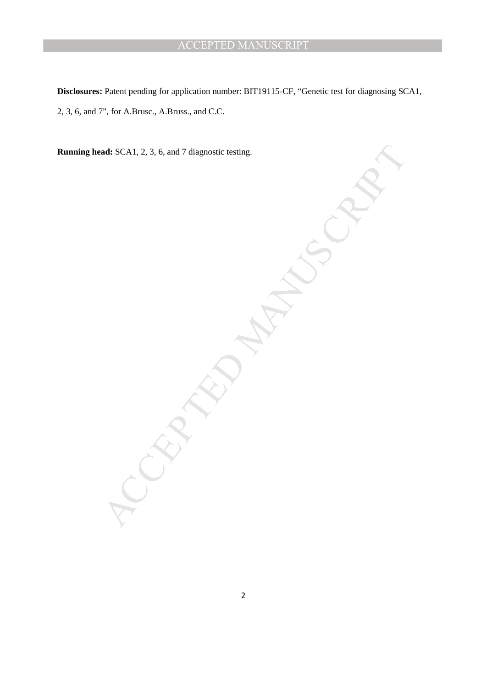**Disclosures:** Patent pending for application number: BIT19115-CF, "Genetic test for diagnosing SCA1, 2, 3, 6, and 7", for A.Brusc., A.Bruss., and C.C.

Act: SCA1, 2, 3, 6, and 7 diagnostic testing. **Running head:** SCA1, 2, 3, 6, and 7 diagnostic testing.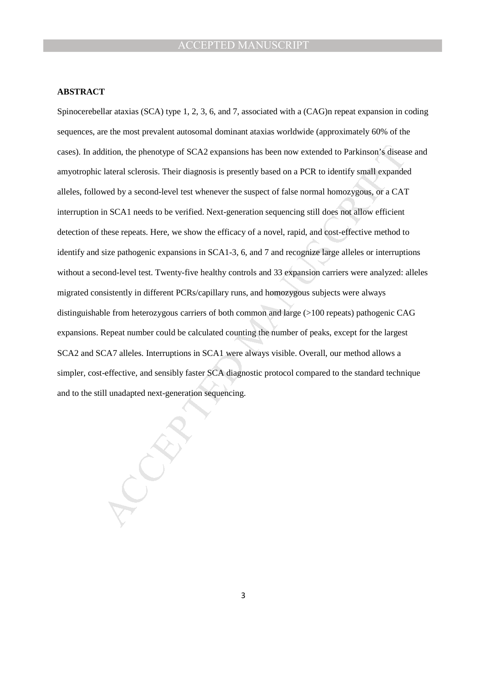#### **ABSTRACT**

dition, the phenotype of SCA2 expansions has been now extended to Parkinson's disease lateral sclerosis. Their diagnosis is presently based on a PCR to identify small expande wed by a second-level test whenever the suspect Spinocerebellar ataxias (SCA) type 1, 2, 3, 6, and 7, associated with a (CAG)n repeat expansion in coding sequences, are the most prevalent autosomal dominant ataxias worldwide (approximately 60% of the cases). In addition, the phenotype of SCA2 expansions has been now extended to Parkinson's disease and amyotrophic lateral sclerosis. Their diagnosis is presently based on a PCR to identify small expanded alleles, followed by a second-level test whenever the suspect of false normal homozygous, or a CAT interruption in SCA1 needs to be verified. Next-generation sequencing still does not allow efficient detection of these repeats. Here, we show the efficacy of a novel, rapid, and cost-effective method to identify and size pathogenic expansions in SCA1-3, 6, and 7 and recognize large alleles or interruptions without a second-level test. Twenty-five healthy controls and 33 expansion carriers were analyzed: alleles migrated consistently in different PCRs/capillary runs, and homozygous subjects were always distinguishable from heterozygous carriers of both common and large (>100 repeats) pathogenic CAG expansions. Repeat number could be calculated counting the number of peaks, except for the largest SCA2 and SCA7 alleles. Interruptions in SCA1 were always visible. Overall, our method allows a simpler, cost-effective, and sensibly faster SCA diagnostic protocol compared to the standard technique and to the still unadapted next-generation sequencing.

3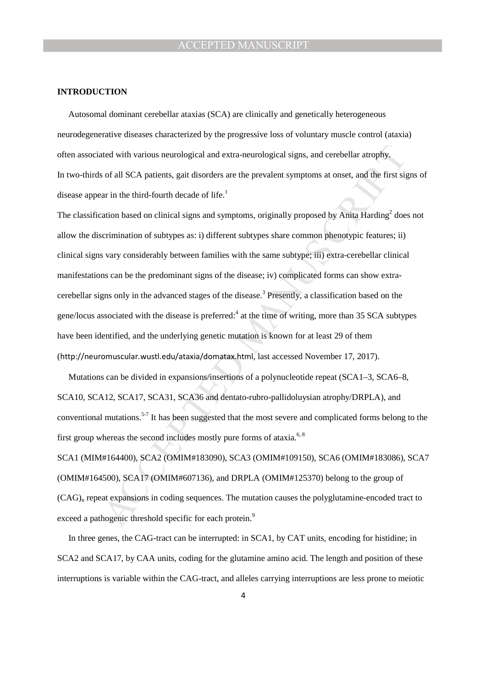#### **INTRODUCTION**

Autosomal dominant cerebellar ataxias (SCA) are clinically and genetically heterogeneous neurodegenerative diseases characterized by the progressive loss of voluntary muscle control (ataxia) often associated with various neurological and extra-neurological signs, and cerebellar atrophy. In two-thirds of all SCA patients, gait disorders are the prevalent symptoms at onset, and the first signs of disease appear in the third-fourth decade of life. $<sup>1</sup>$ </sup>

ued with various neurological and extra-neurological signs, and cerebellar atrophy,<br>sof all SCA patients, gait disorders are the prevalent symptoms at onset, and the first sig<br>ar in the third-fourth decade of life.<sup>1</sup><br>ario The classification based on clinical signs and symptoms, originally proposed by Anita  $\text{Harding}^2$  does not allow the discrimination of subtypes as: i) different subtypes share common phenotypic features; ii) clinical signs vary considerably between families with the same subtype; iii) extra-cerebellar clinical manifestations can be the predominant signs of the disease; iv) complicated forms can show extracerebellar signs only in the advanced stages of the disease.<sup>3</sup> Presently, a classification based on the gene/locus associated with the disease is preferred:<sup>4</sup> at the time of writing, more than 35 SCA subtypes have been identified, and the underlying genetic mutation is known for at least 29 of them (http://neuromuscular.wustl.edu/ataxia/domatax.html, last accessed November 17, 2017).

Mutations can be divided in expansions/insertions of a polynucleotide repeat (SCA1–3, SCA6–8, SCA10, SCA12, SCA17, SCA31, SCA36 and dentato-rubro-pallidoluysian atrophy/DRPLA), and conventional mutations.<sup>5-7</sup> It has been suggested that the most severe and complicated forms belong to the first group whereas the second includes mostly pure forms of ataxia.<sup>6, 8</sup>

SCA1 (MIM#164400), SCA2 (OMIM#183090), SCA3 (OMIM#109150), SCA6 (OMIM#183086), SCA7 (OMIM#164500), SCA17 (OMIM#607136), and DRPLA (OMIM#125370) belong to the group of  $(CAG)$ <sub>n</sub> repeat expansions in coding sequences. The mutation causes the polyglutamine-encoded tract to exceed a pathogenic threshold specific for each protein.<sup>9</sup>

In three genes, the CAG-tract can be interrupted: in SCA1, by CAT units, encoding for histidine; in SCA2 and SCA17, by CAA units, coding for the glutamine amino acid. The length and position of these interruptions is variable within the CAG-tract, and alleles carrying interruptions are less prone to meiotic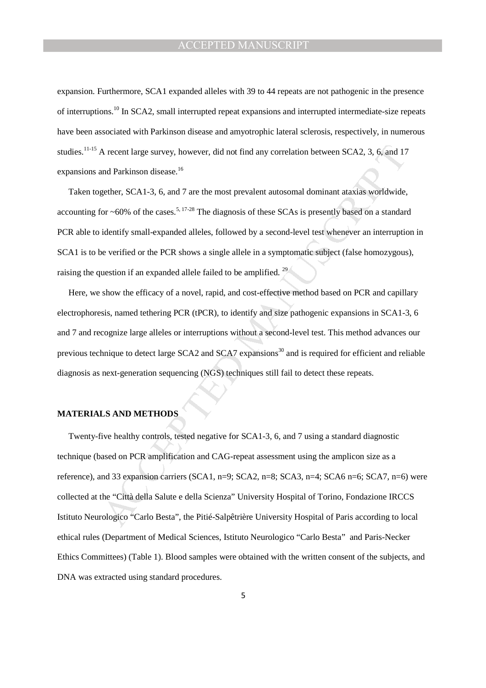expansion. Furthermore, SCA1 expanded alleles with 39 to 44 repeats are not pathogenic in the presence of interruptions.<sup>10</sup> In SCA2, small interrupted repeat expansions and interrupted intermediate-size repeats have been associated with Parkinson disease and amyotrophic lateral sclerosis, respectively, in numerous studies.<sup>11-15</sup> A recent large survey, however, did not find any correlation between SCA2, 3, 6, and 17 expansions and Parkinson disease.<sup>16</sup>

Taken together, SCA1-3, 6, and 7 are the most prevalent autosomal dominant ataxias worldwide, accounting for  $\sim$  60% of the cases.<sup>5, 17-28</sup> The diagnosis of these SCAs is presently based on a standard PCR able to identify small-expanded alleles, followed by a second-level test whenever an interruption in SCA1 is to be verified or the PCR shows a single allele in a symptomatic subject (false homozygous), raising the question if an expanded allele failed to be amplified.<sup>29</sup>

Here, we show the efficacy of a novel, rapid, and cost-effective method based on PCR and capillary electrophoresis, named tethering PCR (tPCR), to identify and size pathogenic expansions in SCA1-3, 6 and 7 and recognize large alleles or interruptions without a second-level test. This method advances our previous technique to detect large SCA2 and SCA7 expansions<sup>30</sup> and is required for efficient and reliable diagnosis as next-generation sequencing (NGS) techniques still fail to detect these repeats.

#### **MATERIALS AND METHODS**

A recent large survey, however, did not find any correlation between SCA2, 3, 6, and 17<br>
and Parkinson disease.<sup>18</sup><br>
egether, SCA1-3, 6, and 7 are the most prevalent autosomal dominant ataxias worldwide,<br>
for ~60% of the Twenty-five healthy controls, tested negative for SCA1-3, 6, and 7 using a standard diagnostic technique (based on PCR amplification and CAG-repeat assessment using the amplicon size as a reference), and 33 expansion carriers (SCA1, n=9; SCA2, n=8; SCA3, n=4; SCA6 n=6; SCA7, n=6) were collected at the "Città della Salute e della Scienza" University Hospital of Torino, Fondazione IRCCS Istituto Neurologico "Carlo Besta", the Pitié-Salpêtrière University Hospital of Paris according to local ethical rules (Department of Medical Sciences, Istituto Neurologico "Carlo Besta" and Paris-Necker Ethics Committees) (Table 1). Blood samples were obtained with the written consent of the subjects, and DNA was extracted using standard procedures.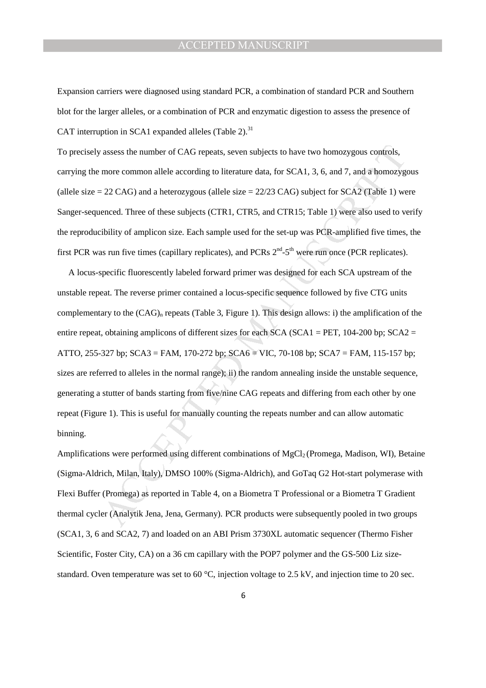Expansion carriers were diagnosed using standard PCR, a combination of standard PCR and Southern blot for the larger alleles, or a combination of PCR and enzymatic digestion to assess the presence of CAT interruption in SCA1 expanded alleles (Table 2).<sup>31</sup>

To precisely assess the number of CAG repeats, seven subjects to have two homozygous controls, carrying the more common allele according to literature data, for SCA1, 3, 6, and 7, and a homozygous (allele size  $= 22$  CAG) and a heterozygous (allele size  $= 22/23$  CAG) subject for SCA2 (Table 1) were Sanger-sequenced. Three of these subjects (CTR1, CTR5, and CTR15; Table 1) were also used to verify the reproducibility of amplicon size. Each sample used for the set-up was PCR-amplified five times, the first PCR was run five times (capillary replicates), and PCRs  $2^{nd}$ -5<sup>th</sup> were run once (PCR replicates).

assess the number of CAG repeats, seven subjects to have two homozygous controls,<br>more common allele according to literature data, for SCA1, 3, 6, and 7, and a homozygous<br>22 CAG) and a heterozygous (allele size = 22/23 CA A locus-specific fluorescently labeled forward primer was designed for each SCA upstream of the unstable repeat. The reverse primer contained a locus-specific sequence followed by five CTG units complementary to the  $(CAG)$ <sub>n</sub> repeats (Table 3, Figure 1). This design allows: i) the amplification of the entire repeat, obtaining amplicons of different sizes for each SCA (SCA1 = PET, 104-200 bp; SCA2 = ATTO, 255-327 bp; SCA3 = FAM, 170-272 bp; SCA6 = VIC, 70-108 bp; SCA7 = FAM, 115-157 bp; sizes are referred to alleles in the normal range); ii) the random annealing inside the unstable sequence, generating a stutter of bands starting from five/nine CAG repeats and differing from each other by one repeat (Figure 1). This is useful for manually counting the repeats number and can allow automatic binning.

Amplifications were performed using different combinations of MgCl<sub>2</sub> (Promega, Madison, WI), Betaine (Sigma-Aldrich, Milan, Italy), DMSO 100% (Sigma-Aldrich), and GoTaq G2 Hot-start polymerase with Flexi Buffer (Promega) as reported in Table 4, on a Biometra T Professional or a Biometra T Gradient thermal cycler (Analytik Jena, Jena, Germany). PCR products were subsequently pooled in two groups (SCA1, 3, 6 and SCA2, 7) and loaded on an ABI Prism 3730XL automatic sequencer (Thermo Fisher Scientific, Foster City, CA) on a 36 cm capillary with the POP7 polymer and the GS-500 Liz sizestandard. Oven temperature was set to 60  $^{\circ}$ C, injection voltage to 2.5 kV, and injection time to 20 sec.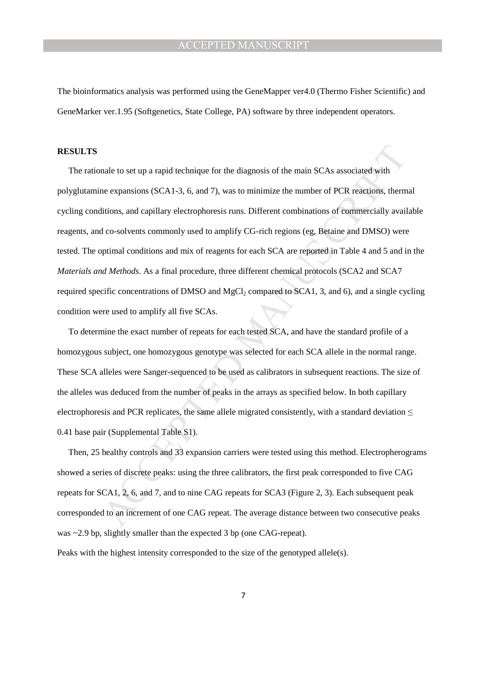The bioinformatics analysis was performed using the GeneMapper ver4.0 (Thermo Fisher Scientific) and GeneMarker ver.1.95 (Softgenetics, State College, PA) software by three independent operators.

#### **RESULTS**

male to set up a rapid technique for the diagnosis of the main SCAs associated with<br>ne expansions (SCA1-3, 6, and 7), was to minimize the number of PCR reactions, therm<br>thions, and capillary electrophoresis runs. Different The rationale to set up a rapid technique for the diagnosis of the main SCAs associated with polyglutamine expansions (SCA1-3, 6, and 7), was to minimize the number of PCR reactions, thermal cycling conditions, and capillary electrophoresis runs. Different combinations of commercially available reagents, and co-solvents commonly used to amplify CG-rich regions (eg, Betaine and DMSO) were tested. The optimal conditions and mix of reagents for each SCA are reported in Table 4 and 5 and in the *Materials and Methods*. As a final procedure, three different chemical protocols (SCA2 and SCA7 required specific concentrations of DMSO and  $MgCl<sub>2</sub>$  compared to SCA1, 3, and 6), and a single cycling condition were used to amplify all five SCAs.

To determine the exact number of repeats for each tested SCA, and have the standard profile of a homozygous subject, one homozygous genotype was selected for each SCA allele in the normal range. These SCA alleles were Sanger-sequenced to be used as calibrators in subsequent reactions. The size of the alleles was deduced from the number of peaks in the arrays as specified below. In both capillary electrophoresis and PCR replicates, the same allele migrated consistently, with a standard deviation  $\leq$ 0.41 base pair (Supplemental Table S1).

Then, 25 healthy controls and 33 expansion carriers were tested using this method. Electropherograms showed a series of discrete peaks: using the three calibrators, the first peak corresponded to five CAG repeats for SCA1, 2, 6, and 7, and to nine CAG repeats for SCA3 (Figure 2, 3). Each subsequent peak corresponded to an increment of one CAG repeat. The average distance between two consecutive peaks was ~2.9 bp, slightly smaller than the expected 3 bp (one CAG-repeat).

Peaks with the highest intensity corresponded to the size of the genotyped allele(s).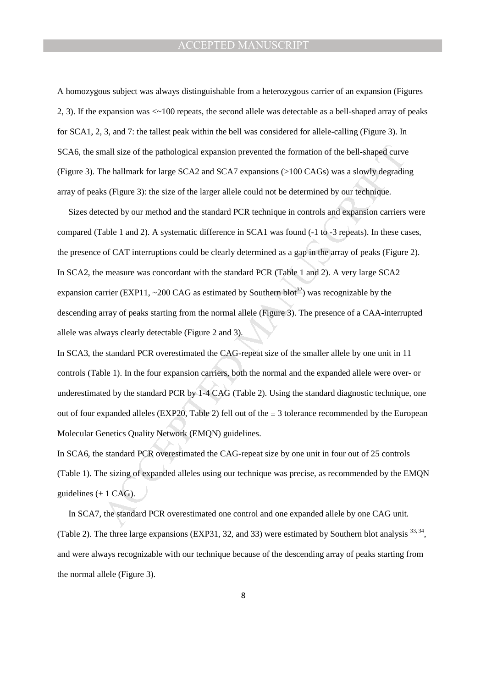A homozygous subject was always distinguishable from a heterozygous carrier of an expansion (Figures 2, 3). If the expansion was <~100 repeats, the second allele was detectable as a bell-shaped array of peaks for SCA1, 2, 3, and 7: the tallest peak within the bell was considered for allele-calling (Figure 3). In SCA6, the small size of the pathological expansion prevented the formation of the bell-shaped curve (Figure 3). The hallmark for large SCA2 and SCA7 expansions (>100 CAGs) was a slowly degrading array of peaks (Figure 3): the size of the larger allele could not be determined by our technique.

mall size of the pathological expansion prevented the formation of the bell-shaped curve<br>The hallmark for large SCA2 and SCA7 expansions (>100 CAGs) was a slowly degradint<br>of Figure 3): the size of the larger allele could Sizes detected by our method and the standard PCR technique in controls and expansion carriers were compared (Table 1 and 2). A systematic difference in SCA1 was found (-1 to -3 repeats). In these cases, the presence of CAT interruptions could be clearly determined as a gap in the array of peaks (Figure 2). In SCA2, the measure was concordant with the standard PCR (Table 1 and 2). A very large SCA2 expansion carrier (EXP11,  $\sim$ 200 CAG as estimated by Southern blot<sup>32</sup>) was recognizable by the descending array of peaks starting from the normal allele (Figure 3). The presence of a CAA-interrupted allele was always clearly detectable (Figure 2 and 3).

In SCA3, the standard PCR overestimated the CAG-repeat size of the smaller allele by one unit in 11 controls (Table 1). In the four expansion carriers, both the normal and the expanded allele were over- or underestimated by the standard PCR by 1-4 CAG (Table 2). Using the standard diagnostic technique, one out of four expanded alleles (EXP20, Table 2) fell out of the  $\pm$  3 tolerance recommended by the European Molecular Genetics Quality Network (EMQN) guidelines.

In SCA6, the standard PCR overestimated the CAG-repeat size by one unit in four out of 25 controls (Table 1). The sizing of expanded alleles using our technique was precise, as recommended by the EMQN guidelines  $(\pm 1 \text{ CAG})$ .

In SCA7, the standard PCR overestimated one control and one expanded allele by one CAG unit. (Table 2). The three large expansions (EXP31, 32, and 33) were estimated by Southern blot analysis <sup>33, 34</sup>, and were always recognizable with our technique because of the descending array of peaks starting from the normal allele (Figure 3).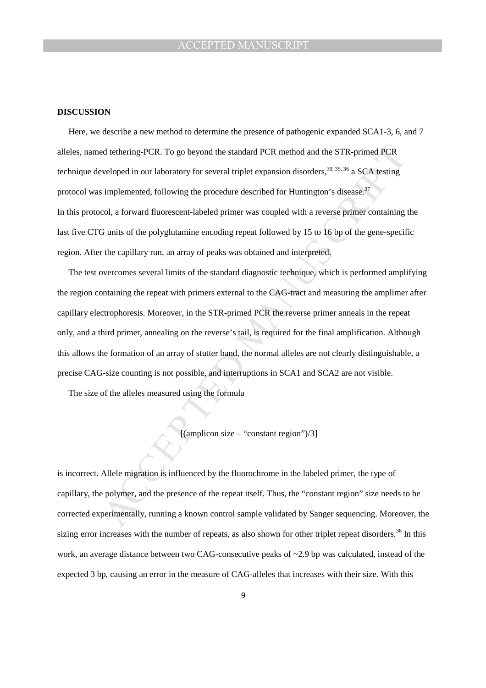#### **DISCUSSION**

ed tethering-PCR. To go beyond the standard PCR method and the STR-primed PCR<br>veloped in our laboratory for several triplet expansion disorders, <sup>30,35,36</sup> a SCA testing<br>simplemented, following the procedure described for Here, we describe a new method to determine the presence of pathogenic expanded SCA1-3, 6, and 7 alleles, named tethering-PCR. To go beyond the standard PCR method and the STR-primed PCR technique developed in our laboratory for several triplet expansion disorders,  $30, 35, 36$  a SCA testing protocol was implemented, following the procedure described for Huntington's disease.<sup>37</sup> In this protocol, a forward fluorescent-labeled primer was coupled with a reverse primer containing the last five CTG units of the polyglutamine encoding repeat followed by 15 to 16 bp of the gene-specific region. After the capillary run, an array of peaks was obtained and interpreted.

The test overcomes several limits of the standard diagnostic technique, which is performed amplifying the region containing the repeat with primers external to the CAG-tract and measuring the amplimer after capillary electrophoresis. Moreover, in the STR-primed PCR the reverse primer anneals in the repeat only, and a third primer, annealing on the reverse's tail, is required for the final amplification. Although this allows the formation of an array of stutter band, the normal alleles are not clearly distinguishable, a precise CAG-size counting is not possible, and interruptions in SCA1 and SCA2 are not visible.

The size of the alleles measured using the formula

 $[(amplicon size - "constant region")/3]$ 

is incorrect. Allele migration is influenced by the fluorochrome in the labeled primer, the type of capillary, the polymer, and the presence of the repeat itself. Thus, the "constant region" size needs to be corrected experimentally, running a known control sample validated by Sanger sequencing. Moreover, the sizing error increases with the number of repeats, as also shown for other triplet repeat disorders.<sup>36</sup> In this work, an average distance between two CAG-consecutive peaks of ~2.9 bp was calculated, instead of the expected 3 bp, causing an error in the measure of CAG-alleles that increases with their size. With this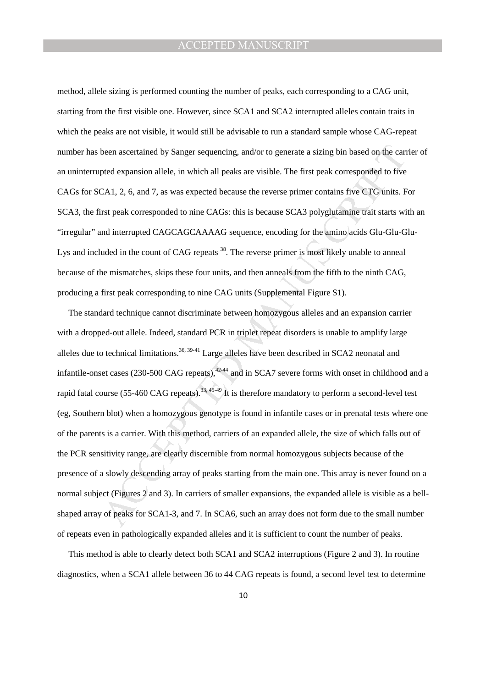method, allele sizing is performed counting the number of peaks, each corresponding to a CAG unit, starting from the first visible one. However, since SCA1 and SCA2 interrupted alleles contain traits in which the peaks are not visible, it would still be advisable to run a standard sample whose CAG-repeat number has been ascertained by Sanger sequencing, and/or to generate a sizing bin based on the carrier of an uninterrupted expansion allele, in which all peaks are visible. The first peak corresponded to five CAGs for SCA1, 2, 6, and 7, as was expected because the reverse primer contains five CTG units. For SCA3, the first peak corresponded to nine CAGs: this is because SCA3 polyglutamine trait starts with an "irregular" and interrupted CAGCAGCAAAAG sequence, encoding for the amino acids Glu-Glu-Glu-Lys and included in the count of CAG repeats <sup>38</sup>. The reverse primer is most likely unable to anneal because of the mismatches, skips these four units, and then anneals from the fifth to the ninth CAG, producing a first peak corresponding to nine CAG units (Supplemental Figure S1).

been ascertained by Sanger sequencing, and/or to generate a sizing bin based on the carred expansion allele, in which all peaks are visible. The first peak corresponded to five CA1, 2, 6, and 7, as was expected because the The standard technique cannot discriminate between homozygous alleles and an expansion carrier with a dropped-out allele. Indeed, standard PCR in triplet repeat disorders is unable to amplify large alleles due to technical limitations.<sup>36, 39-41</sup> Large alleles have been described in SCA2 neonatal and infantile-onset cases (230-500 CAG repeats),  $42-44$  and in SCA7 severe forms with onset in childhood and a rapid fatal course (55-460 CAG repeats).<sup>33, 45-49</sup> It is therefore mandatory to perform a second-level test (eg, Southern blot) when a homozygous genotype is found in infantile cases or in prenatal tests where one of the parents is a carrier. With this method, carriers of an expanded allele, the size of which falls out of the PCR sensitivity range, are clearly discernible from normal homozygous subjects because of the presence of a slowly descending array of peaks starting from the main one. This array is never found on a normal subject (Figures 2 and 3). In carriers of smaller expansions, the expanded allele is visible as a bellshaped array of peaks for SCA1-3, and 7. In SCA6, such an array does not form due to the small number of repeats even in pathologically expanded alleles and it is sufficient to count the number of peaks.

This method is able to clearly detect both SCA1 and SCA2 interruptions (Figure 2 and 3). In routine diagnostics, when a SCA1 allele between 36 to 44 CAG repeats is found, a second level test to determine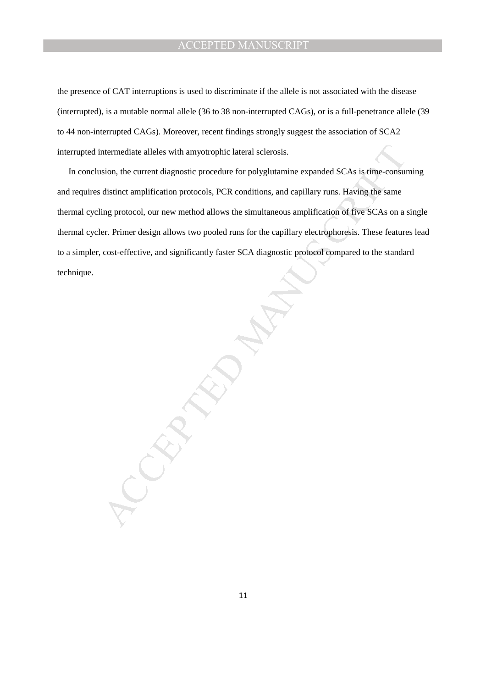the presence of CAT interruptions is used to discriminate if the allele is not associated with the disease (interrupted), is a mutable normal allele (36 to 38 non-interrupted CAGs), or is a full-penetrance allele (39 to 44 non-interrupted CAGs). Moreover, recent findings strongly suggest the association of SCA2 interrupted intermediate alleles with amyotrophic lateral sclerosis.

ntermediate alleles with amyotrophic lateral sclerosis.<br>
sion, the current diagnostic procedure for polyglutamine expanded SCAs is firme-consults<br>
distinct amplification protocols, PCR conditions, and capillary runs. Havin In conclusion, the current diagnostic procedure for polyglutamine expanded SCAs is time-consuming and requires distinct amplification protocols, PCR conditions, and capillary runs. Having the same thermal cycling protocol, our new method allows the simultaneous amplification of five SCAs on a single thermal cycler. Primer design allows two pooled runs for the capillary electrophoresis. These features lead to a simpler, cost-effective, and significantly faster SCA diagnostic protocol compared to the standard technique.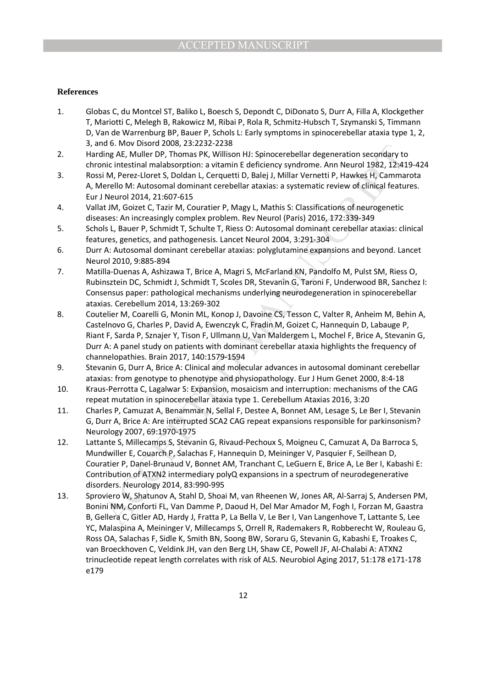#### **References**

- 1. Globas C, du Montcel ST, Baliko L, Boesch S, Depondt C, DiDonato S, Durr A, Filla A, Klockgether T, Mariotti C, Melegh B, Rakowicz M, Ribai P, Rola R, Schmitz-Hubsch T, Szymanski S, Timmann D, Van de Warrenburg BP, Bauer P, Schols L: Early symptoms in spinocerebellar ataxia type 1, 2, 3, and 6. Mov Disord 2008, 23:2232-2238
- 2. Harding AE, Muller DP, Thomas PK, Willison HJ: Spinocerebellar degeneration secondary to chronic intestinal malabsorption: a vitamin E deficiency syndrome. Ann Neurol 1982, 12:419-424
- 3. Rossi M, Perez-Lloret S, Doldan L, Cerquetti D, Balej J, Millar Vernetti P, Hawkes H, Cammarota A, Merello M: Autosomal dominant cerebellar ataxias: a systematic review of clinical features. Eur J Neurol 2014, 21:607-615
- 4. Vallat JM, Goizet C, Tazir M, Couratier P, Magy L, Mathis S: Classifications of neurogenetic diseases: An increasingly complex problem. Rev Neurol (Paris) 2016, 172:339-349
- 5. Schols L, Bauer P, Schmidt T, Schulte T, Riess O: Autosomal dominant cerebellar ataxias: clinical features, genetics, and pathogenesis. Lancet Neurol 2004, 3:291-304
- 6. Durr A: Autosomal dominant cerebellar ataxias: polyglutamine expansions and beyond. Lancet Neurol 2010, 9:885-894
- 7. Matilla-Duenas A, Ashizawa T, Brice A, Magri S, McFarland KN, Pandolfo M, Pulst SM, Riess O, Rubinsztein DC, Schmidt J, Schmidt T, Scoles DR, Stevanin G, Taroni F, Underwood BR, Sanchez I: Consensus paper: pathological mechanisms underlying neurodegeneration in spinocerebellar ataxias. Cerebellum 2014, 13:269-302
- 8. Coutelier M, Coarelli G, Monin ML, Konop J, Davoine CS, Tesson C, Valter R, Anheim M, Behin A, Castelnovo G, Charles P, David A, Ewenczyk C, Fradin M, Goizet C, Hannequin D, Labauge P, Riant F, Sarda P, Sznajer Y, Tison F, Ullmann U, Van Maldergem L, Mochel F, Brice A, Stevanin G, Durr A: A panel study on patients with dominant cerebellar ataxia highlights the frequency of channelopathies. Brain 2017, 140:1579-1594
- 9. Stevanin G, Durr A, Brice A: Clinical and molecular advances in autosomal dominant cerebellar ataxias: from genotype to phenotype and physiopathology. Eur J Hum Genet 2000, 8:4-18
- 10. Kraus-Perrotta C, Lagalwar S: Expansion, mosaicism and interruption: mechanisms of the CAG repeat mutation in spinocerebellar ataxia type 1. Cerebellum Ataxias 2016, 3:20
- 11. Charles P, Camuzat A, Benammar N, Sellal F, Destee A, Bonnet AM, Lesage S, Le Ber I, Stevanin G, Durr A, Brice A: Are interrupted SCA2 CAG repeat expansions responsible for parkinsonism? Neurology 2007, 69:1970-1975
- MANUSCRIPT ACCEPTED 12. Lattante S, Millecamps S, Stevanin G, Rivaud-Pechoux S, Moigneu C, Camuzat A, Da Barroca S, Mundwiller E, Couarch P, Salachas F, Hannequin D, Meininger V, Pasquier F, Seilhean D, Couratier P, Danel-Brunaud V, Bonnet AM, Tranchant C, LeGuern E, Brice A, Le Ber I, Kabashi E: Contribution of ATXN2 intermediary polyQ expansions in a spectrum of neurodegenerative disorders. Neurology 2014, 83:990-995
- 13. Sproviero W, Shatunov A, Stahl D, Shoai M, van Rheenen W, Jones AR, Al-Sarraj S, Andersen PM, Bonini NM, Conforti FL, Van Damme P, Daoud H, Del Mar Amador M, Fogh I, Forzan M, Gaastra B, Gellera C, Gitler AD, Hardy J, Fratta P, La Bella V, Le Ber I, Van Langenhove T, Lattante S, Lee YC, Malaspina A, Meininger V, Millecamps S, Orrell R, Rademakers R, Robberecht W, Rouleau G, Ross OA, Salachas F, Sidle K, Smith BN, Soong BW, Soraru G, Stevanin G, Kabashi E, Troakes C, van Broeckhoven C, Veldink JH, van den Berg LH, Shaw CE, Powell JF, Al-Chalabi A: ATXN2 trinucleotide repeat length correlates with risk of ALS. Neurobiol Aging 2017, 51:178 e171-178 e179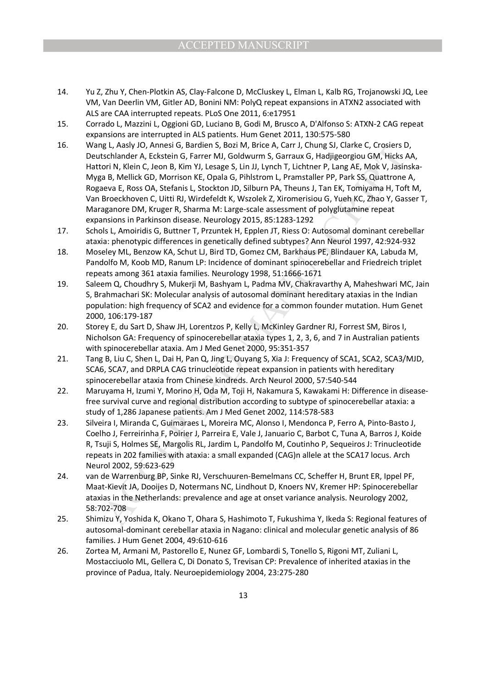- 14. Yu Z, Zhu Y, Chen-Plotkin AS, Clay-Falcone D, McCluskey L, Elman L, Kalb RG, Trojanowski JQ, Lee VM, Van Deerlin VM, Gitler AD, Bonini NM: PolyQ repeat expansions in ATXN2 associated with ALS are CAA interrupted repeats. PLoS One 2011, 6:e17951
- 15. Corrado L, Mazzini L, Oggioni GD, Luciano B, Godi M, Brusco A, D'Alfonso S: ATXN-2 CAG repeat expansions are interrupted in ALS patients. Hum Genet 2011, 130:575-580
- ig I, Aasiy 10, Anness G, itariam S, tiom M, tiene A, Carr, J. Chung S, Clarke C, Creasers I, May (1, An Ang C, Creasers) in 11, Lynch T, Micks A, Ba, Mok V, Jasin C, J. An Ang C, J. An Ang C, J. An Ang C, J. An Ang C, J. 16. Wang L, Aasly JO, Annesi G, Bardien S, Bozi M, Brice A, Carr J, Chung SJ, Clarke C, Crosiers D, Deutschlander A, Eckstein G, Farrer MJ, Goldwurm S, Garraux G, Hadjigeorgiou GM, Hicks AA, Hattori N, Klein C, Jeon B, Kim YJ, Lesage S, Lin JJ, Lynch T, Lichtner P, Lang AE, Mok V, Jasinska-Myga B, Mellick GD, Morrison KE, Opala G, Pihlstrom L, Pramstaller PP, Park SS, Quattrone A, Rogaeva E, Ross OA, Stefanis L, Stockton JD, Silburn PA, Theuns J, Tan EK, Tomiyama H, Toft M, Van Broeckhoven C, Uitti RJ, Wirdefeldt K, Wszolek Z, Xiromerisiou G, Yueh KC, Zhao Y, Gasser T, Maraganore DM, Kruger R, Sharma M: Large-scale assessment of polyglutamine repeat expansions in Parkinson disease. Neurology 2015, 85:1283-1292
- 17. Schols L, Amoiridis G, Buttner T, Przuntek H, Epplen JT, Riess O: Autosomal dominant cerebellar ataxia: phenotypic differences in genetically defined subtypes? Ann Neurol 1997, 42:924-932
- 18. Moseley ML, Benzow KA, Schut LJ, Bird TD, Gomez CM, Barkhaus PE, Blindauer KA, Labuda M, Pandolfo M, Koob MD, Ranum LP: Incidence of dominant spinocerebellar and Friedreich triplet repeats among 361 ataxia families. Neurology 1998, 51:1666-1671
- 19. Saleem Q, Choudhry S, Mukerji M, Bashyam L, Padma MV, Chakravarthy A, Maheshwari MC, Jain S, Brahmachari SK: Molecular analysis of autosomal dominant hereditary ataxias in the Indian population: high frequency of SCA2 and evidence for a common founder mutation. Hum Genet 2000, 106:179-187
- 20. Storey E, du Sart D, Shaw JH, Lorentzos P, Kelly L, McKinley Gardner RJ, Forrest SM, Biros I, Nicholson GA: Frequency of spinocerebellar ataxia types 1, 2, 3, 6, and 7 in Australian patients with spinocerebellar ataxia. Am J Med Genet 2000, 95:351-357
- 21. Tang B, Liu C, Shen L, Dai H, Pan Q, Jing L, Ouyang S, Xia J: Frequency of SCA1, SCA2, SCA3/MJD, SCA6, SCA7, and DRPLA CAG trinucleotide repeat expansion in patients with hereditary spinocerebellar ataxia from Chinese kindreds. Arch Neurol 2000, 57:540-544
- 22. Maruyama H, Izumi Y, Morino H, Oda M, Toji H, Nakamura S, Kawakami H: Difference in diseasefree survival curve and regional distribution according to subtype of spinocerebellar ataxia: a study of 1,286 Japanese patients. Am J Med Genet 2002, 114:578-583
- 23. Silveira I, Miranda C, Guimaraes L, Moreira MC, Alonso I, Mendonca P, Ferro A, Pinto-Basto J, Coelho J, Ferreirinha F, Poirier J, Parreira E, Vale J, Januario C, Barbot C, Tuna A, Barros J, Koide R, Tsuji S, Holmes SE, Margolis RL, Jardim L, Pandolfo M, Coutinho P, Sequeiros J: Trinucleotide repeats in 202 families with ataxia: a small expanded (CAG)n allele at the SCA17 locus. Arch Neurol 2002, 59:623-629
- 24. van de Warrenburg BP, Sinke RJ, Verschuuren-Bemelmans CC, Scheffer H, Brunt ER, Ippel PF, Maat-Kievit JA, Dooijes D, Notermans NC, Lindhout D, Knoers NV, Kremer HP: Spinocerebellar ataxias in the Netherlands: prevalence and age at onset variance analysis. Neurology 2002, 58:702-708
- 25. Shimizu Y, Yoshida K, Okano T, Ohara S, Hashimoto T, Fukushima Y, Ikeda S: Regional features of autosomal-dominant cerebellar ataxia in Nagano: clinical and molecular genetic analysis of 86 families. J Hum Genet 2004, 49:610-616
- 26. Zortea M, Armani M, Pastorello E, Nunez GF, Lombardi S, Tonello S, Rigoni MT, Zuliani L, Mostacciuolo ML, Gellera C, Di Donato S, Trevisan CP: Prevalence of inherited ataxias in the province of Padua, Italy. Neuroepidemiology 2004, 23:275-280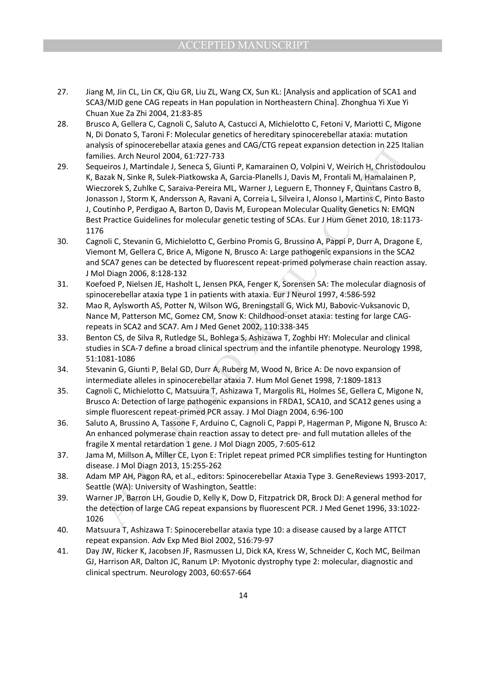- 27. Jiang M, Jin CL, Lin CK, Qiu GR, Liu ZL, Wang CX, Sun KL: [Analysis and application of SCA1 and SCA3/MJD gene CAG repeats in Han population in Northeastern China]. Zhonghua Yi Xue Yi Chuan Xue Za Zhi 2004, 21:83-85
- 28. Brusco A, Gellera C, Cagnoli C, Saluto A, Castucci A, Michielotto C, Fetoni V, Mariotti C, Migone N, Di Donato S, Taroni F: Molecular genetics of hereditary spinocerebellar ataxia: mutation analysis of spinocerebellar ataxia genes and CAG/CTG repeat expansion detection in 225 Italian families. Arch Neurol 2004, 61:727-733
- ysis of spinocerebellar ataxia genes and CAG/CTG repeat expansion detection in 225 lts<br>illes. Arch Neurol 2004, 61:727-733<br>neiros J, Martindale J, Seneca 5, Giunti P, Kamarainen 0, Volpini V, Weirich H, Christofode<br>Izizk, 29. Sequeiros J, Martindale J, Seneca S, Giunti P, Kamarainen O, Volpini V, Weirich H, Christodoulou K, Bazak N, Sinke R, Sulek-Piatkowska A, Garcia-Planells J, Davis M, Frontali M, Hamalainen P, Wieczorek S, Zuhlke C, Saraiva-Pereira ML, Warner J, Leguern E, Thonney F, Quintans Castro B, Jonasson J, Storm K, Andersson A, Ravani A, Correia L, Silveira I, Alonso I, Martins C, Pinto Basto J, Coutinho P, Perdigao A, Barton D, Davis M, European Molecular Quality Genetics N: EMQN Best Practice Guidelines for molecular genetic testing of SCAs. Eur J Hum Genet 2010, 18:1173- 1176
- 30. Cagnoli C, Stevanin G, Michielotto C, Gerbino Promis G, Brussino A, Pappi P, Durr A, Dragone E, Viemont M, Gellera C, Brice A, Migone N, Brusco A: Large pathogenic expansions in the SCA2 and SCA7 genes can be detected by fluorescent repeat-primed polymerase chain reaction assay. J Mol Diagn 2006, 8:128-132
- 31. Koefoed P, Nielsen JE, Hasholt L, Jensen PKA, Fenger K, Sorensen SA: The molecular diagnosis of spinocerebellar ataxia type 1 in patients with ataxia. Eur J Neurol 1997, 4:586-592
- 32. Mao R, Aylsworth AS, Potter N, Wilson WG, Breningstall G, Wick MJ, Babovic-Vuksanovic D, Nance M, Patterson MC, Gomez CM, Snow K: Childhood-onset ataxia: testing for large CAGrepeats in SCA2 and SCA7. Am J Med Genet 2002, 110:338-345
- 33. Benton CS, de Silva R, Rutledge SL, Bohlega S, Ashizawa T, Zoghbi HY: Molecular and clinical studies in SCA-7 define a broad clinical spectrum and the infantile phenotype. Neurology 1998, 51:1081-1086
- 34. Stevanin G, Giunti P, Belal GD, Durr A, Ruberg M, Wood N, Brice A: De novo expansion of intermediate alleles in spinocerebellar ataxia 7. Hum Mol Genet 1998, 7:1809-1813
- 35. Cagnoli C, Michielotto C, Matsuura T, Ashizawa T, Margolis RL, Holmes SE, Gellera C, Migone N, Brusco A: Detection of large pathogenic expansions in FRDA1, SCA10, and SCA12 genes using a simple fluorescent repeat-primed PCR assay. J Mol Diagn 2004, 6:96-100
- 36. Saluto A, Brussino A, Tassone F, Arduino C, Cagnoli C, Pappi P, Hagerman P, Migone N, Brusco A: An enhanced polymerase chain reaction assay to detect pre- and full mutation alleles of the fragile X mental retardation 1 gene. J Mol Diagn 2005, 7:605-612
- 37. Jama M, Millson A, Miller CE, Lyon E: Triplet repeat primed PCR simplifies testing for Huntington disease. J Mol Diagn 2013, 15:255-262
- 38. Adam MP AH, Pagon RA, et al., editors: Spinocerebellar Ataxia Type 3. GeneReviews 1993-2017, Seattle (WA): University of Washington, Seattle:
- 39. Warner JP, Barron LH, Goudie D, Kelly K, Dow D, Fitzpatrick DR, Brock DJ: A general method for the detection of large CAG repeat expansions by fluorescent PCR. J Med Genet 1996, 33:1022- 1026
- 40. Matsuura T, Ashizawa T: Spinocerebellar ataxia type 10: a disease caused by a large ATTCT repeat expansion. Adv Exp Med Biol 2002, 516:79-97
- 41. Day JW, Ricker K, Jacobsen JF, Rasmussen LJ, Dick KA, Kress W, Schneider C, Koch MC, Beilman GJ, Harrison AR, Dalton JC, Ranum LP: Myotonic dystrophy type 2: molecular, diagnostic and clinical spectrum. Neurology 2003, 60:657-664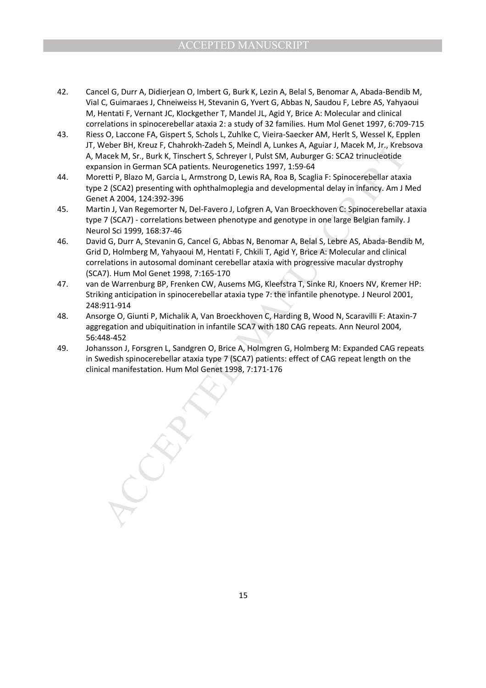- 42. Cancel G, Durr A, Didierjean O, Imbert G, Burk K, Lezin A, Belal S, Benomar A, Abada-Bendib M, Vial C, Guimaraes J, Chneiweiss H, Stevanin G, Yvert G, Abbas N, Saudou F, Lebre AS, Yahyaoui M, Hentati F, Vernant JC, Klockgether T, Mandel JL, Agid Y, Brice A: Molecular and clinical correlations in spinocerebellar ataxia 2: a study of 32 families. Hum Mol Genet 1997, 6:709-715
- 43. Riess O, Laccone FA, Gispert S, Schols L, Zuhlke C, Vieira-Saecker AM, Herlt S, Wessel K, Epplen JT, Weber BH, Kreuz F, Chahrokh-Zadeh S, Meindl A, Lunkes A, Aguiar J, Macek M, Jr., Krebsova A, Macek M, Sr., Burk K, Tinschert S, Schreyer I, Pulst SM, Auburger G: SCA2 trinucleotide expansion in German SCA patients. Neurogenetics 1997, 1:59-64
- 44. Moretti P, Blazo M, Garcia L, Armstrong D, Lewis RA, Roa B, Scaglia F: Spinocerebellar ataxia type 2 (SCA2) presenting with ophthalmoplegia and developmental delay in infancy. Am J Med Genet A 2004, 124:392-396
- 45. Martin J, Van Regemorter N, Del-Favero J, Lofgren A, Van Broeckhoven C: Spinocerebellar ataxia type 7 (SCA7) - correlations between phenotype and genotype in one large Belgian family. J Neurol Sci 1999, 168:37-46
- Weber BH, Kreuz F, Chaincokn-Zaden S, Memdl A, Lunkes A, Aguar J, Macek Whate, My J, Kreek M, SF, Eurk K, Tinschert 5, Schreyer I, Pulst SM, Auburger G: SCA2 trinuclebtide<br>hacek M, Sr., Burk K, Tinschert S, Schreyer I, Pul 46. David G, Durr A, Stevanin G, Cancel G, Abbas N, Benomar A, Belal S, Lebre AS, Abada-Bendib M, Grid D, Holmberg M, Yahyaoui M, Hentati F, Chkili T, Agid Y, Brice A: Molecular and clinical correlations in autosomal dominant cerebellar ataxia with progressive macular dystrophy (SCA7). Hum Mol Genet 1998, 7:165-170
- 47. van de Warrenburg BP, Frenken CW, Ausems MG, Kleefstra T, Sinke RJ, Knoers NV, Kremer HP: Striking anticipation in spinocerebellar ataxia type 7: the infantile phenotype. J Neurol 2001, 248:911-914
- 48. Ansorge O, Giunti P, Michalik A, Van Broeckhoven C, Harding B, Wood N, Scaravilli F: Ataxin-7 aggregation and ubiquitination in infantile SCA7 with 180 CAG repeats. Ann Neurol 2004, 56:448-452
- 49. Johansson J, Forsgren L, Sandgren O, Brice A, Holmgren G, Holmberg M: Expanded CAG repeats in Swedish spinocerebellar ataxia type 7 (SCA7) patients: effect of CAG repeat length on the clinical manifestation. Hum Mol Genet 1998, 7:171-176

15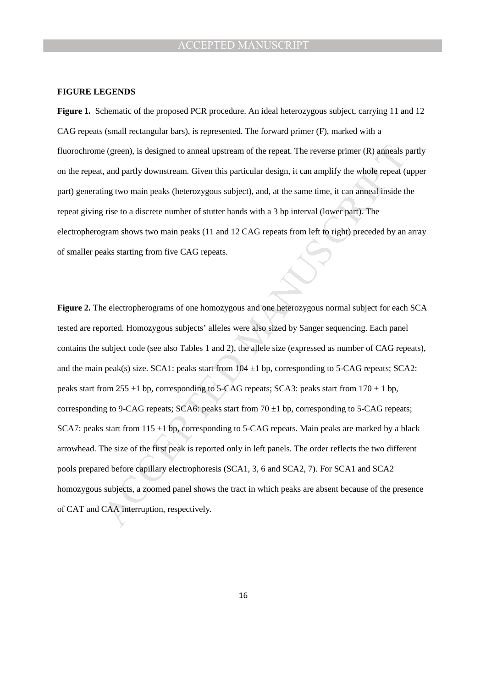#### **FIGURE LEGENDS**

**Figure 1.** Schematic of the proposed PCR procedure. An ideal heterozygous subject, carrying 11 and 12 CAG repeats (small rectangular bars), is represented. The forward primer (F), marked with a fluorochrome (green), is designed to anneal upstream of the repeat. The reverse primer (R) anneals partly on the repeat, and partly downstream. Given this particular design, it can amplify the whole repeat (upper part) generating two main peaks (heterozygous subject), and, at the same time, it can anneal inside the repeat giving rise to a discrete number of stutter bands with a 3 bp interval (lower part). The electropherogram shows two main peaks (11 and 12 CAG repeats from left to right) preceded by an array of smaller peaks starting from five CAG repeats.

e (green), is designed to anneal upstream of the repeat. The reverse primer (R) anneals p, and partly downstream. Given this particular design, it can amplify the whole repeat (ing two main peaks (heterozygous subject), an **Figure 2.** The electropherograms of one homozygous and one heterozygous normal subject for each SCA tested are reported. Homozygous subjects' alleles were also sized by Sanger sequencing. Each panel contains the subject code (see also Tables 1 and 2), the allele size (expressed as number of CAG repeats), and the main peak(s) size. SCA1: peaks start from  $104 \pm 1$  bp, corresponding to 5-CAG repeats; SCA2: peaks start from 255  $\pm$ 1 bp, corresponding to 5-CAG repeats; SCA3: peaks start from 170  $\pm$  1 bp, corresponding to 9-CAG repeats; SCA6: peaks start from  $70 \pm 1$  bp, corresponding to 5-CAG repeats; SCA7: peaks start from 115  $\pm$ 1 bp, corresponding to 5-CAG repeats. Main peaks are marked by a black arrowhead. The size of the first peak is reported only in left panels. The order reflects the two different pools prepared before capillary electrophoresis (SCA1, 3, 6 and SCA2, 7). For SCA1 and SCA2 homozygous subjects, a zoomed panel shows the tract in which peaks are absent because of the presence of CAT and CAA interruption, respectively.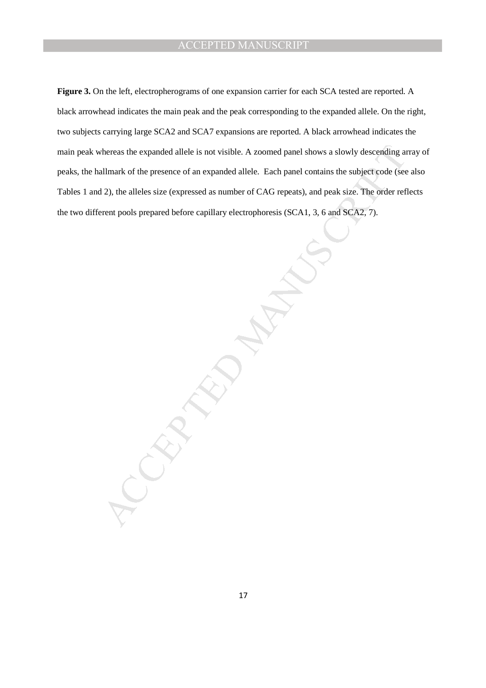thereas the expanded allele is not visible. A zoomed panel shows a slowly descending and<br>allmark of the presence of an expanded allele. Each panel contains the subject code (see<br>2), the alleles size (expressed as number of **Figure 3.** On the left, electropherograms of one expansion carrier for each SCA tested are reported. A black arrowhead indicates the main peak and the peak corresponding to the expanded allele. On the right, two subjects carrying large SCA2 and SCA7 expansions are reported. A black arrowhead indicates the main peak whereas the expanded allele is not visible. A zoomed panel shows a slowly descending array of peaks, the hallmark of the presence of an expanded allele. Each panel contains the subject code (see also Tables 1 and 2), the alleles size (expressed as number of CAG repeats), and peak size. The order reflects the two different pools prepared before capillary electrophoresis (SCA1, 3, 6 and SCA2, 7).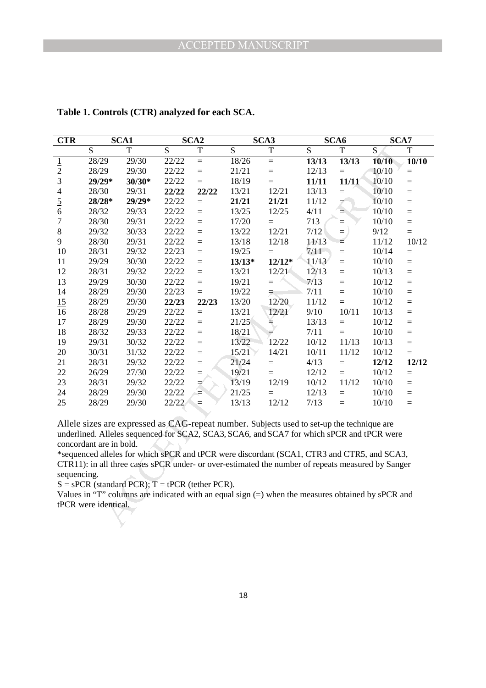| <b>CTR</b>       |                                                 | SCA1                                                |       | SCA <sub>2</sub> |                | SCA3                                                                                                                                                                                                                                                                                                                                                                                                                                                                                              |                | SCA6     | SCA7  |       |
|------------------|-------------------------------------------------|-----------------------------------------------------|-------|------------------|----------------|---------------------------------------------------------------------------------------------------------------------------------------------------------------------------------------------------------------------------------------------------------------------------------------------------------------------------------------------------------------------------------------------------------------------------------------------------------------------------------------------------|----------------|----------|-------|-------|
|                  | $\overline{S}$                                  | $\mathbf T$                                         | S     | T                | $\overline{S}$ | T                                                                                                                                                                                                                                                                                                                                                                                                                                                                                                 | $\overline{S}$ | T        | S     | T     |
|                  | $\overline{28}/29$                              | 29/30                                               | 22/22 | $=$              | 18/26          | $=$                                                                                                                                                                                                                                                                                                                                                                                                                                                                                               | 13/13          | 13/13    | 10/10 | 10/10 |
| $\frac{1}{2}$    | 28/29                                           | 29/30                                               | 22/22 | $=$              | 21/21          | $=$                                                                                                                                                                                                                                                                                                                                                                                                                                                                                               | 12/13          | $=$      | 10/10 | $=$   |
| 3                | 29/29*                                          | $30/30*$                                            | 22/22 | $=$              | 18/19          | $=$                                                                                                                                                                                                                                                                                                                                                                                                                                                                                               | 11/11          | 11/11    | 10/10 | $=$   |
| $\overline{4}$   | 28/30                                           | 29/31                                               | 22/22 | 22/22            | 13/21          | 12/21                                                                                                                                                                                                                                                                                                                                                                                                                                                                                             | 13/13          | $=$      | 10/10 | $=$   |
| $\frac{5}{6}$    | 28/28*                                          | 29/29*                                              | 22/22 | $=$              | 21/21          | 21/21                                                                                                                                                                                                                                                                                                                                                                                                                                                                                             | 11/12          | ≠        | 10/10 | $=$   |
|                  | 28/32                                           | 29/33                                               | 22/22 | $=$              | 13/25          | 12/25                                                                                                                                                                                                                                                                                                                                                                                                                                                                                             | 4/11           | $\equiv$ | 10/10 | $=$   |
| $\boldsymbol{7}$ | 28/30                                           | 29/31                                               | 22/22 | $=$              | 17/20          | $=$                                                                                                                                                                                                                                                                                                                                                                                                                                                                                               | 713            | $=$      | 10/10 | $=$   |
| $8\,$            | 29/32                                           | 30/33                                               | 22/22 | $=$              | 13/22          | 12/21                                                                                                                                                                                                                                                                                                                                                                                                                                                                                             | 7/12           | $=$      | 9/12  | $=$   |
| 9                | 28/30                                           | 29/31                                               | 22/22 | $=$              | 13/18          | 12/18                                                                                                                                                                                                                                                                                                                                                                                                                                                                                             | 11/13          | $=$      | 11/12 | 10/12 |
| 10               | 28/31                                           | 29/32                                               | 22/23 | $=$              | 19/25          | $\equiv$                                                                                                                                                                                                                                                                                                                                                                                                                                                                                          | 7/11           | $=$      | 10/14 | $=$   |
| 11               | 29/29                                           | 30/30                                               | 22/22 | $=$              | $13/13*$       | $12/12*$                                                                                                                                                                                                                                                                                                                                                                                                                                                                                          | 11/13          | $=$      | 10/10 | $=$   |
| 12               | 28/31                                           | 29/32                                               | 22/22 | $=$              | 13/21          | 12/21                                                                                                                                                                                                                                                                                                                                                                                                                                                                                             | 12/13          | $=$      | 10/13 | $=$   |
| 13               | 29/29                                           | 30/30                                               | 22/22 | $=$              | 19/21          | $=$                                                                                                                                                                                                                                                                                                                                                                                                                                                                                               | 7/13           | $=$      | 10/12 | $=$   |
| 14               | 28/29                                           | 29/30                                               | 22/23 | $=$              | 19/22          | $\equiv$                                                                                                                                                                                                                                                                                                                                                                                                                                                                                          | 7/11           | $=$      | 10/10 | $=$   |
| 15               | 28/29                                           | 29/30                                               | 22/23 | 22/23            | 13/20          | 12/20                                                                                                                                                                                                                                                                                                                                                                                                                                                                                             | 11/12          | $=$      | 10/12 | $=$   |
| 16               | 28/28                                           | 29/29                                               | 22/22 | $=$              | 13/21          | 12/21                                                                                                                                                                                                                                                                                                                                                                                                                                                                                             | 9/10           | 10/11    | 10/13 | $=$   |
| 17               | 28/29                                           | 29/30                                               | 22/22 | $=$              | 21/25          | ≒                                                                                                                                                                                                                                                                                                                                                                                                                                                                                                 | 13/13          | $=$      | 10/12 | $=$   |
| 18               | 28/32                                           | 29/33                                               | 22/22 | $=$              | 18/21          |                                                                                                                                                                                                                                                                                                                                                                                                                                                                                                   | 7/11           | $=$      | 10/10 | $=$   |
| 19               | 29/31                                           | 30/32                                               | 22/22 | $=$              | 13/22          | 12/22                                                                                                                                                                                                                                                                                                                                                                                                                                                                                             | 10/12          | 11/13    | 10/13 | $=$   |
| 20               | 30/31                                           | 31/32                                               | 22/22 | $=$              | 15/21          | 14/21                                                                                                                                                                                                                                                                                                                                                                                                                                                                                             | 10/11          | 11/12    | 10/12 | $=$   |
| 21               | 28/31                                           | 29/32                                               | 22/22 | $=$              | 21/24          | $=$                                                                                                                                                                                                                                                                                                                                                                                                                                                                                               | 4/13           | $=$      | 12/12 | 12/12 |
| $22\,$           | 26/29                                           | 27/30                                               | 22/22 | $=$              | 19/21          | $=$                                                                                                                                                                                                                                                                                                                                                                                                                                                                                               | 12/12          | $=$      | 10/12 | $=$   |
| 23               | 28/31                                           | 29/32                                               | 22/22 |                  | 13/19          | 12/19                                                                                                                                                                                                                                                                                                                                                                                                                                                                                             | 10/12          | 11/12    | 10/10 | $=$   |
| 24               | 28/29                                           | 29/30                                               | 22/22 | $\overline{A}$   | 21/25          | $=$                                                                                                                                                                                                                                                                                                                                                                                                                                                                                               | 12/13          | $=$      | 10/10 | $=$   |
| 25               | 28/29                                           | 29/30                                               | 22/22 | $=$              | 13/13          | 12/12                                                                                                                                                                                                                                                                                                                                                                                                                                                                                             | 7/13           | $=$      | 10/10 | $=$   |
| sequencing.      | concordant are in bold.<br>tPCR were identical. | $S = sPCR$ (standard PCR); $T = tPCR$ (tether PCR). |       |                  |                | Allele sizes are expressed as CAG-repeat number. Subjects used to set-up the technique are<br>underlined. Alleles sequenced for SCA2, SCA3, SCA6, and SCA7 for which sPCR and tPCR were<br>*sequenced alleles for which sPCR and tPCR were discordant (SCA1, CTR3 and CTR5, and SCA3,<br>CTR11): in all three cases sPCR under- or over-estimated the number of repeats measured by Sanger<br>Values in "T" columns are indicated with an equal sign $(=)$ when the measures obtained by sPCR and |                |          |       |       |

**Table 1. Controls (CTR) analyzed for each SCA.**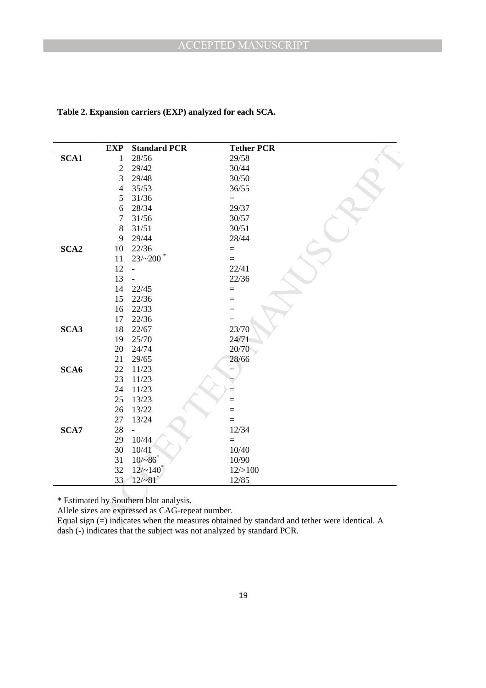| SCA1<br>SCA <sub>2</sub>                                                                       | 1<br>$\overline{c}$<br>3<br>$\overline{4}$<br>5<br>6<br>7<br>8<br>9<br>10<br>11<br>12<br>13<br>14<br>15 | 28/56<br>29/42<br>29/48<br>35/53<br>31/36<br>28/34<br>31/56<br>31/51<br>29/44<br>22/36<br>23/200<br>$\overline{a}$ | 29/58<br>30/44<br>30/50<br>36/55<br>$=$<br>29/37<br>30/57<br>30/51<br>28/44<br>$=$<br>22/41 |
|------------------------------------------------------------------------------------------------|---------------------------------------------------------------------------------------------------------|--------------------------------------------------------------------------------------------------------------------|---------------------------------------------------------------------------------------------|
|                                                                                                |                                                                                                         |                                                                                                                    |                                                                                             |
|                                                                                                |                                                                                                         |                                                                                                                    |                                                                                             |
|                                                                                                |                                                                                                         |                                                                                                                    |                                                                                             |
|                                                                                                |                                                                                                         |                                                                                                                    |                                                                                             |
|                                                                                                |                                                                                                         |                                                                                                                    |                                                                                             |
|                                                                                                |                                                                                                         |                                                                                                                    |                                                                                             |
|                                                                                                |                                                                                                         |                                                                                                                    |                                                                                             |
|                                                                                                |                                                                                                         |                                                                                                                    |                                                                                             |
|                                                                                                |                                                                                                         |                                                                                                                    |                                                                                             |
|                                                                                                |                                                                                                         |                                                                                                                    |                                                                                             |
|                                                                                                |                                                                                                         |                                                                                                                    |                                                                                             |
|                                                                                                |                                                                                                         |                                                                                                                    |                                                                                             |
|                                                                                                |                                                                                                         |                                                                                                                    | 22/36                                                                                       |
|                                                                                                |                                                                                                         | 22/45                                                                                                              | $=$                                                                                         |
|                                                                                                |                                                                                                         | 22/36                                                                                                              | $=$                                                                                         |
|                                                                                                | 16                                                                                                      | 22/33                                                                                                              | $=$                                                                                         |
|                                                                                                | 17                                                                                                      | 22/36                                                                                                              | $=$                                                                                         |
| SCA3                                                                                           | 18                                                                                                      | 22/67                                                                                                              | 23/70                                                                                       |
|                                                                                                | 19                                                                                                      | 25/70                                                                                                              | 24/71                                                                                       |
|                                                                                                | 20                                                                                                      | 24/74                                                                                                              | 20/70                                                                                       |
|                                                                                                | 21                                                                                                      | 29/65                                                                                                              | 28/66                                                                                       |
| SCA6                                                                                           | $22\,$                                                                                                  | 11/23                                                                                                              | $=$                                                                                         |
|                                                                                                | 23                                                                                                      | 11/23                                                                                                              |                                                                                             |
|                                                                                                | 24                                                                                                      | 11/23                                                                                                              | $=$                                                                                         |
|                                                                                                | 25                                                                                                      | 13/23                                                                                                              | $=$                                                                                         |
|                                                                                                | 26                                                                                                      | 13/22                                                                                                              |                                                                                             |
|                                                                                                | 27                                                                                                      | 13/24                                                                                                              | $=$                                                                                         |
| SCA7                                                                                           | 28<br>29                                                                                                | $\overline{a}$                                                                                                     | 12/34                                                                                       |
|                                                                                                | 30                                                                                                      | 10/44                                                                                                              | $=$                                                                                         |
|                                                                                                | 31                                                                                                      | 10/41<br>$10/-86$                                                                                                  | 10/40<br>10/90                                                                              |
|                                                                                                | 32                                                                                                      | $12/-140^*$                                                                                                        | 12/>100                                                                                     |
|                                                                                                | 33                                                                                                      | $12/\sim81$ <sup>*</sup>                                                                                           | 12/85                                                                                       |
|                                                                                                |                                                                                                         |                                                                                                                    |                                                                                             |
| Equal sign $(=)$ indicates when the measures obtained by standard and tether were identical. A |                                                                                                         | * Estimated by Southern blot analysis.<br>Allele sizes are expressed as CAG-repeat number.                         |                                                                                             |

## **Table 2. Expansion carriers (EXP) analyzed for each SCA.**

Equal sign (=) indicates when the measures obtained by standard and tether were identical. A dash (-) indicates that the subject was not analyzed by standard PCR.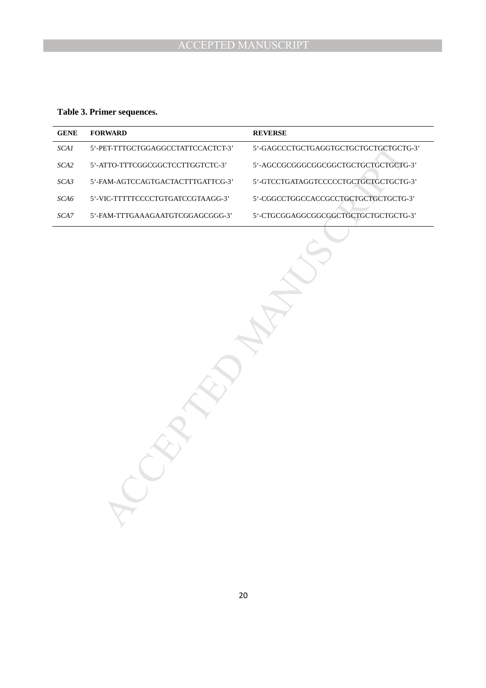**Table 3. Primer sequences.**

| <b>GENE</b> | <b>FORWARD</b>                     | <b>REVERSE</b>                        |
|-------------|------------------------------------|---------------------------------------|
| SCAI        | 5'-PET-TTTGCTGGAGGCCTATTCCACTCT-3' | 5'-GAGCCCTGCTGAGGTGCTGCTGCTGCTGCTG-3' |
| SCA2        | 5'-ATTO-TTTCGGCGGCTCCTTGGTCTC-3'   | 5'-AGCCGCGGGCGGCGGCTGCTGCTGCTGCTG-3'  |
| SCA3        | 5'-FAM-AGTCCAGTGACTACTTTGATTCG-3'  | 5'-GTCCTGATAGGTCCCCCTGCTGCTGCTGCTG-3' |
| SCA6        | 5'-VIC-TTTTTCCCCTGTGATCCGTAAGG-3'  | 5'-CGGCCTGGCCACCGCCTGCTGCTGCTGCTG-3'  |
| SCA7        | 5'-FAM-TTTGAAAGAATGTCGGAGCGGG-3'   | 5'-CTGCGGAGGCGGCGGCTGCTGCTGCTGCTG-3'  |
|             |                                    |                                       |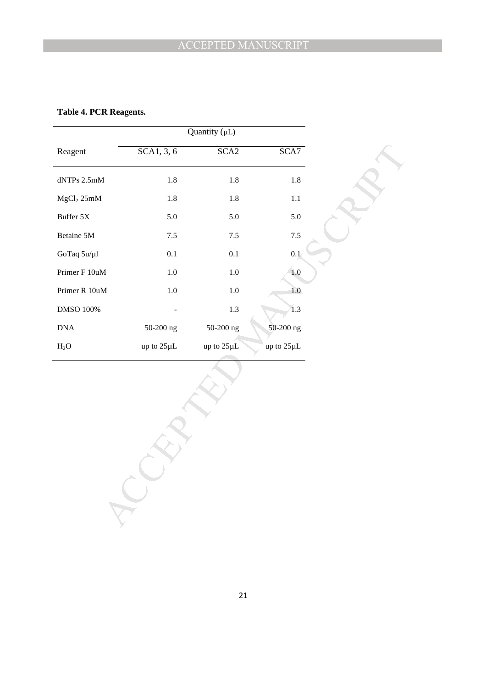**Table 4. PCR Reagents.**

|                             |            | Quantity $(\mu L)$ |            |
|-----------------------------|------------|--------------------|------------|
| Reagent                     | SCA1, 3, 6 | SCA <sub>2</sub>   | SCA7       |
| $d{\rm NTPs}$ $2.5{\rm mM}$ | $1.8\,$    | $1.8\,$            | $1.8\,$    |
| MgCl <sub>2</sub> 25mM      | $1.8\,$    | $1.8\,$            | $1.1\,$    |
| Buffer $5\mathrm{X}$        | 5.0        | $5.0\,$            | $5.0\,$    |
| Betaine 5M                  | $7.5$      | $7.5\,$            | $7.5\,$    |
| GoTaq 5u/µl                 | 0.1        | $0.1\,$            | 0.1        |
| Primer F 10uM               | $1.0\,$    | $1.0\,$            | $1.0\,$    |
| Primer R $10$ uM            | $1.0\,$    | $1.0\,$            | 1.0        |
| DMSO 100%                   |            | $1.3\,$            | 1.3        |
| $\rm DNA$                   | 50-200 ng  | 50-200 ng          | 50-200 ng  |
| $H_2O$                      | up to 25µL | up to 25µL         | up to 25µL |
|                             |            |                    |            |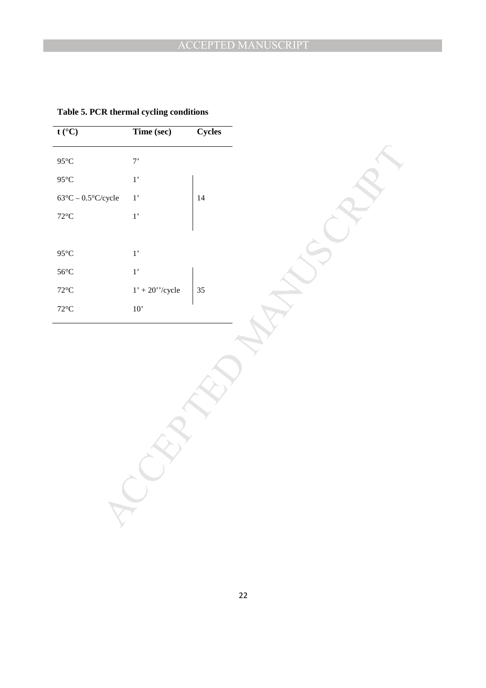| $t (^{\circ}C)$                    | Time (sec)                                | Cycles |
|------------------------------------|-------------------------------------------|--------|
| $95^{\circ}\textrm{C}$             | $7$                                       |        |
| $95^{\circ}$ C                     | $1^{\circ}$                               |        |
| $63^{\circ}C - 0.5^{\circ}C/cycle$ | $1^{\circ}$                               | $14\,$ |
| $72^{\circ}$ C                     | $1,$                                      |        |
|                                    |                                           |        |
| $95^{\circ}$ C                     | $1^{\circ}$                               |        |
| $56^{\circ}$ C                     | $1^{\circ}$                               |        |
| $72^{\circ}\textrm{C}$             | $1'$ + $20^{\prime\prime}/\mathrm{cycle}$ | $35\,$ |
| $72^{\circ}$ C                     | $10"$                                     |        |
|                                    |                                           |        |
|                                    |                                           |        |
|                                    |                                           |        |
|                                    |                                           |        |
|                                    |                                           |        |
|                                    |                                           |        |
|                                    |                                           |        |
|                                    |                                           |        |
|                                    |                                           |        |
|                                    |                                           |        |
|                                    |                                           |        |

**Table 5. PCR thermal cycling conditions**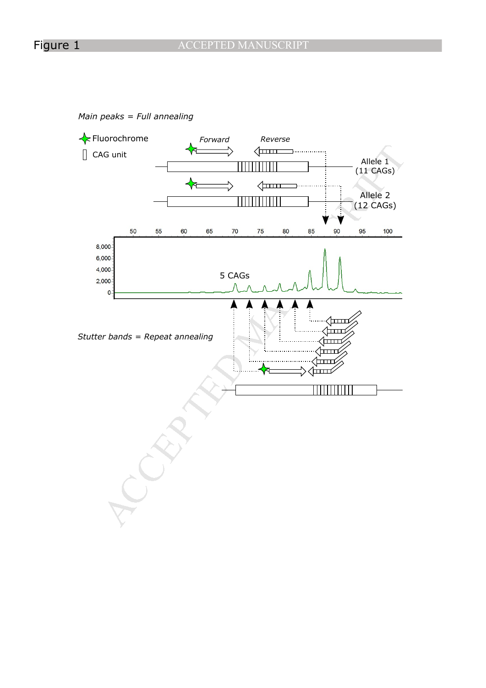*Main peaks = Full annealing*

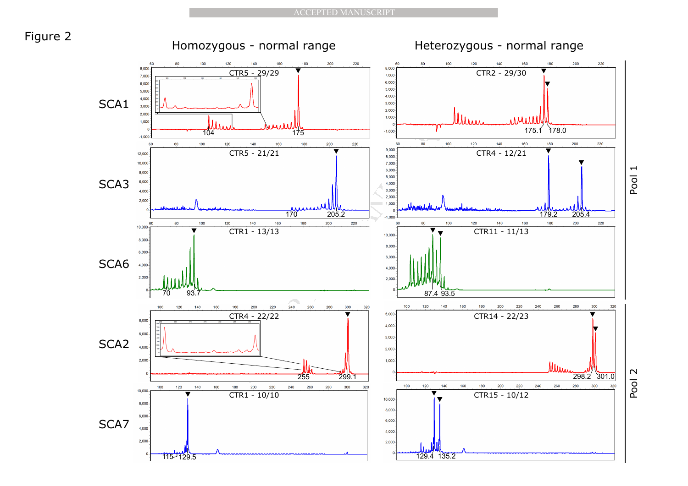